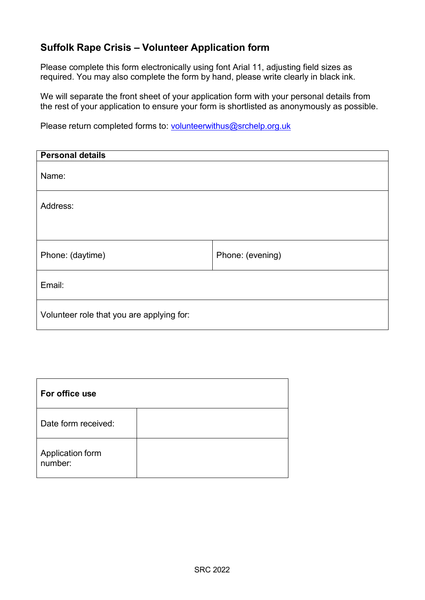## **Suffolk Rape Crisis – Volunteer Application form**

Please complete this form electronically using font Arial 11, adjusting field sizes as required. You may also complete the form by hand, please write clearly in black ink.

We will separate the front sheet of your application form with your personal details from the rest of your application to ensure your form is shortlisted as anonymously as possible.

Please return completed forms to: volunteerwithus@srchelp.org.uk

| <b>Personal details</b>                   |                  |
|-------------------------------------------|------------------|
| Name:                                     |                  |
| Address:                                  |                  |
|                                           |                  |
| Phone: (daytime)                          | Phone: (evening) |
| Email:                                    |                  |
| Volunteer role that you are applying for: |                  |

| For office use              |  |
|-----------------------------|--|
| Date form received:         |  |
| Application form<br>number: |  |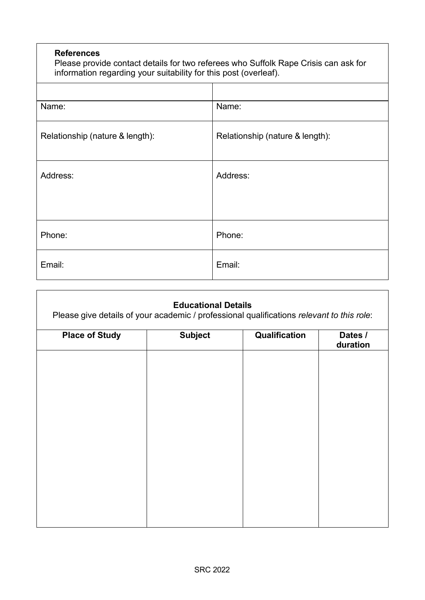#### **References**

Please provide contact details for two referees who Suffolk Rape Crisis can ask for information regarding your suitability for this post (overleaf).

| Name:                           | Name:                           |
|---------------------------------|---------------------------------|
| Relationship (nature & length): | Relationship (nature & length): |
| Address:                        | Address:                        |
|                                 |                                 |
| Phone:                          | Phone:                          |
| Email:                          | Email:                          |

| <b>Subject</b> | Qualification | Dates /<br>duration                                                                                                     |
|----------------|---------------|-------------------------------------------------------------------------------------------------------------------------|
|                |               |                                                                                                                         |
|                |               |                                                                                                                         |
|                |               |                                                                                                                         |
|                |               |                                                                                                                         |
|                |               |                                                                                                                         |
|                |               |                                                                                                                         |
|                |               |                                                                                                                         |
|                |               | <b>Educational Details</b><br>Please give details of your academic / professional qualifications relevant to this role: |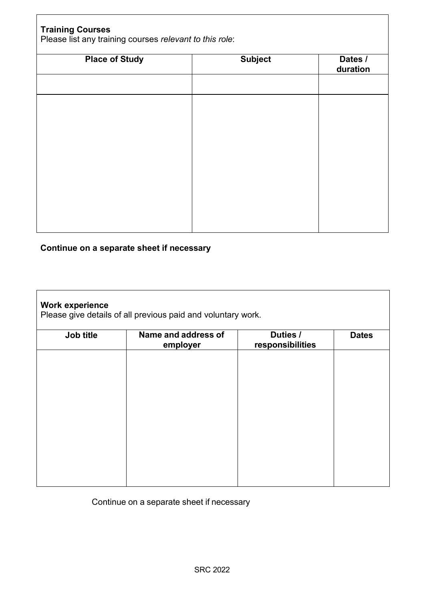| <b>Subject</b> | Dates /<br>duration |
|----------------|---------------------|
|                |                     |
|                |                     |
|                |                     |
|                |                     |
|                |                     |
|                |                     |
|                |                     |
|                |                     |
|                |                     |

# **Continue on a separate sheet if necessary**

| Name and address of | Duties / | <b>Dates</b>     |
|---------------------|----------|------------------|
|                     |          |                  |
|                     |          |                  |
|                     |          |                  |
|                     |          |                  |
|                     |          |                  |
|                     |          |                  |
|                     |          |                  |
|                     |          |                  |
|                     | employer | responsibilities |

Continue on a separate sheet if necessary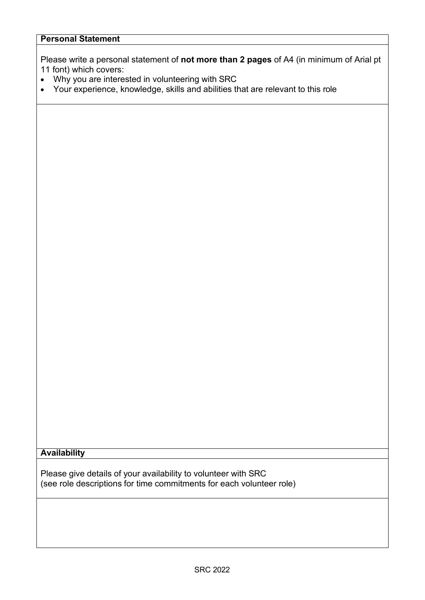Please write a personal statement of **not more than 2 pages** of A4 (in minimum of Arial pt 11 font) which covers:

- Why you are interested in volunteering with SRC
- Your experience, knowledge, skills and abilities that are relevant to this role

#### **Availability**

Please give details of your availability to volunteer with SRC (see role descriptions for time commitments for each volunteer role)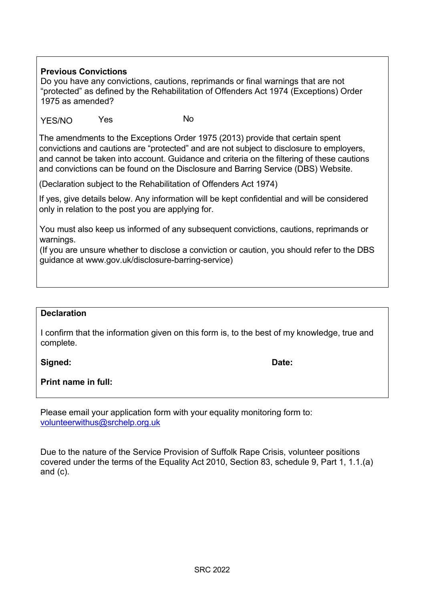### **Previous Convictions**

Do you have any convictions, cautions, reprimands or final warnings that are not "protected" as defined by the Rehabilitation of Offenders Act 1974 (Exceptions) Order 1975 as amended?

YES/NO Yes No

The amendments to the Exceptions Order 1975 (2013) provide that certain spent convictions and cautions are "protected" and are not subject to disclosure to employers, and cannot be taken into account. Guidance and criteria on the filtering of these cautions and convictions can be found on the Disclosure and Barring Service (DBS) Website.

(Declaration subject to the Rehabilitation of Offenders Act 1974)

If yes, give details below. Any information will be kept confidential and will be considered only in relation to the post you are applying for.

You must also keep us informed of any subsequent convictions, cautions, reprimands or warnings.

(If you are unsure whether to disclose a conviction or caution, you should refer to the DBS guidance at www.gov.uk/disclosure-barring-service)

#### **Declaration**

I confirm that the information given on this form is, to the best of my knowledge, true and complete.

**Signed: Date:**

**Print name in full:**

Please email your application form with your equality monitoring form to: [volunteerwithus@srchelp.org.uk](mailto:volunteerwithus@srchelp.org.uk)

Due to the nature of the Service Provision of Suffolk Rape Crisis, volunteer positions covered under the terms of the Equality Act 2010, Section 83, schedule 9, Part 1, 1.1.(a) and (c).